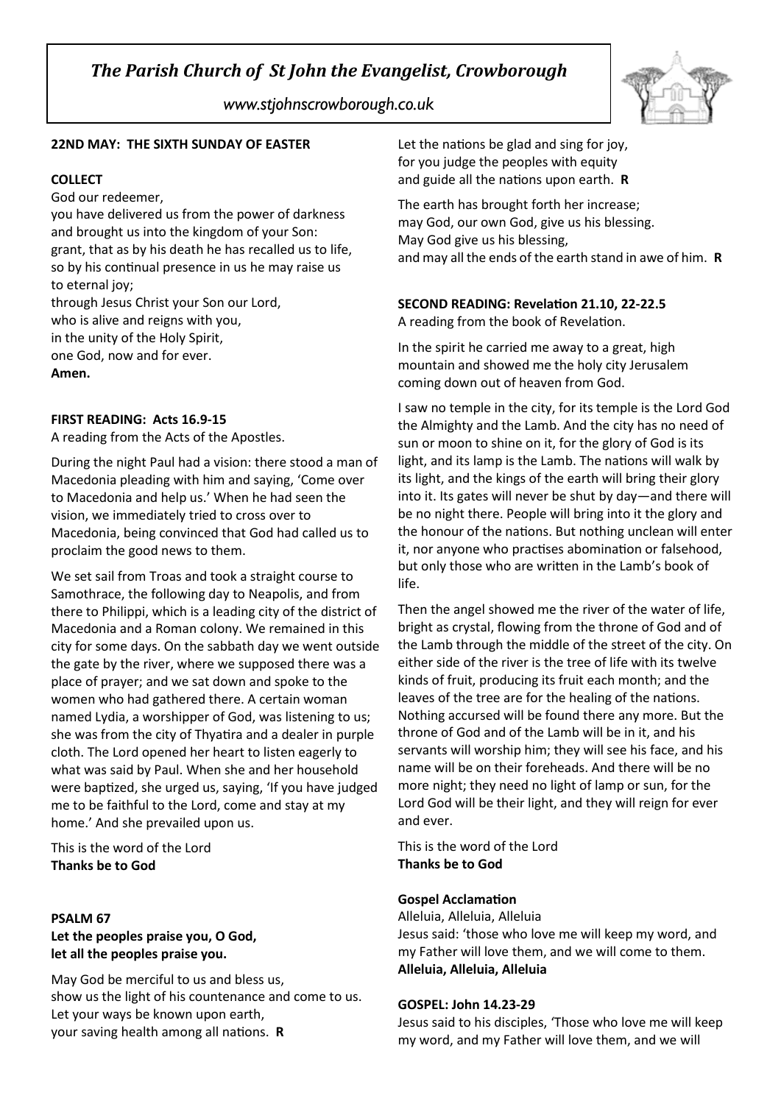

*www.stjohnscrowborough.co.uk*

### **22ND MAY: THE SIXTH SUNDAY OF EASTER**

### **COLLECT**

God our redeemer,

you have delivered us from the power of darkness and brought us into the kingdom of your Son: grant, that as by his death he has recalled us to life, so by his continual presence in us he may raise us to eternal joy; through Jesus Christ your Son our Lord, who is alive and reigns with you, in the unity of the Holy Spirit, one God, now and for ever.

**Amen.**

### **FIRST READING: Acts 16.9-15**

A reading from the Acts of the Apostles.

During the night Paul had a vision: there stood a man of Macedonia pleading with him and saying, 'Come over to Macedonia and help us.' When he had seen the vision, we immediately tried to cross over to Macedonia, being convinced that God had called us to proclaim the good news to them.

We set sail from Troas and took a straight course to Samothrace, the following day to Neapolis, and from there to Philippi, which is a leading city of the district of Macedonia and a Roman colony. We remained in this city for some days. On the sabbath day we went outside the gate by the river, where we supposed there was a place of prayer; and we sat down and spoke to the women who had gathered there. A certain woman named Lydia, a worshipper of God, was listening to us; she was from the city of Thyatira and a dealer in purple cloth. The Lord opened her heart to listen eagerly to what was said by Paul. When she and her household were baptized, she urged us, saying, 'If you have judged me to be faithful to the Lord, come and stay at my home.' And she prevailed upon us.

This is the word of the Lord **Thanks be to God**

#### **PSALM 67**

## **Let the peoples praise you, O God, let all the peoples praise you.**

May God be merciful to us and bless us, show us the light of his countenance and come to us. Let your ways be known upon earth, your saving health among all nations. **R**

Let the nations be glad and sing for joy, for you judge the peoples with equity and guide all the nations upon earth. **R**

The earth has brought forth her increase; may God, our own God, give us his blessing. May God give us his blessing, and may all the ends of the earth stand in awe of him. **R**

## **SECOND READING: Revelation 21.10, 22-22.5** A reading from the book of Revelation.

In the spirit he carried me away to a great, high mountain and showed me the holy city Jerusalem coming down out of heaven from God.

I saw no temple in the city, for its temple is the Lord God the Almighty and the Lamb. And the city has no need of sun or moon to shine on it, for the glory of God is its light, and its lamp is the Lamb. The nations will walk by its light, and the kings of the earth will bring their glory into it. Its gates will never be shut by day—and there will be no night there. People will bring into it the glory and the honour of the nations. But nothing unclean will enter it, nor anyone who practises abomination or falsehood, but only those who are written in the Lamb's book of life.

Then the angel showed me the river of the water of life, bright as crystal, flowing from the throne of God and of the Lamb through the middle of the street of the city. On either side of the river is the tree of life with its twelve kinds of fruit, producing its fruit each month; and the leaves of the tree are for the healing of the nations. Nothing accursed will be found there any more. But the throne of God and of the Lamb will be in it, and his servants will worship him; they will see his face, and his name will be on their foreheads. And there will be no more night; they need no light of lamp or sun, for the Lord God will be their light, and they will reign for ever and ever.

This is the word of the Lord **Thanks be to God**

#### **Gospel Acclamation**

Alleluia, Alleluia, Alleluia

Jesus said: 'those who love me will keep my word, and my Father will love them, and we will come to them. **Alleluia, Alleluia, Alleluia** 

#### **GOSPEL: John 14.23-29**

Jesus said to his disciples, 'Those who love me will keep my word, and my Father will love them, and we will